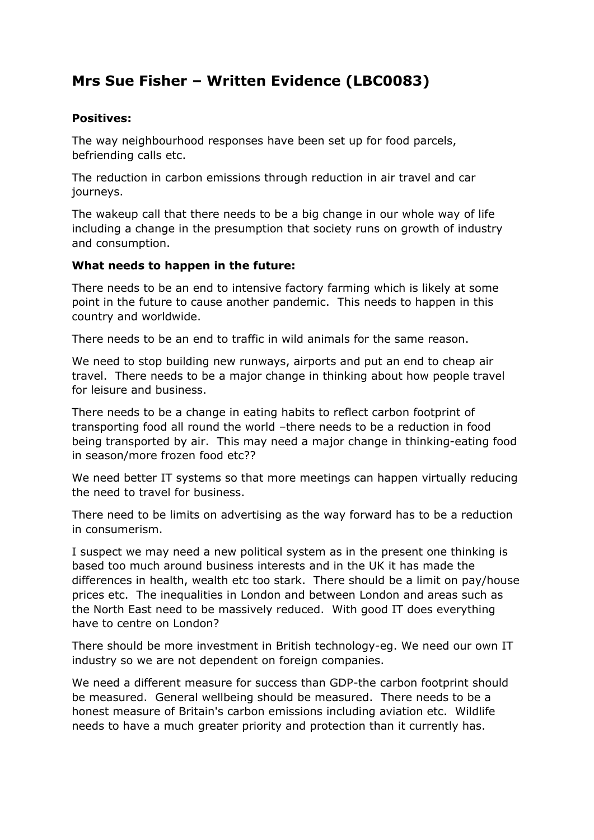## **Mrs Sue Fisher – Written Evidence (LBC0083)**

## **Positives:**

The way neighbourhood responses have been set up for food parcels, befriending calls etc.

The reduction in carbon emissions through reduction in air travel and car journeys.

The wakeup call that there needs to be a big change in our whole way of life including a change in the presumption that society runs on growth of industry and consumption.

## **What needs to happen in the future:**

There needs to be an end to intensive factory farming which is likely at some point in the future to cause another pandemic. This needs to happen in this country and worldwide.

There needs to be an end to traffic in wild animals for the same reason.

We need to stop building new runways, airports and put an end to cheap air travel. There needs to be a major change in thinking about how people travel for leisure and business.

There needs to be a change in eating habits to reflect carbon footprint of transporting food all round the world –there needs to be a reduction in food being transported by air. This may need a major change in thinking-eating food in season/more frozen food etc??

We need better IT systems so that more meetings can happen virtually reducing the need to travel for business.

There need to be limits on advertising as the way forward has to be a reduction in consumerism.

I suspect we may need a new political system as in the present one thinking is based too much around business interests and in the UK it has made the differences in health, wealth etc too stark. There should be a limit on pay/house prices etc. The inequalities in London and between London and areas such as the North East need to be massively reduced. With good IT does everything have to centre on London?

There should be more investment in British technology-eg. We need our own IT industry so we are not dependent on foreign companies.

We need a different measure for success than GDP-the carbon footprint should be measured. General wellbeing should be measured. There needs to be a honest measure of Britain's carbon emissions including aviation etc. Wildlife needs to have a much greater priority and protection than it currently has.